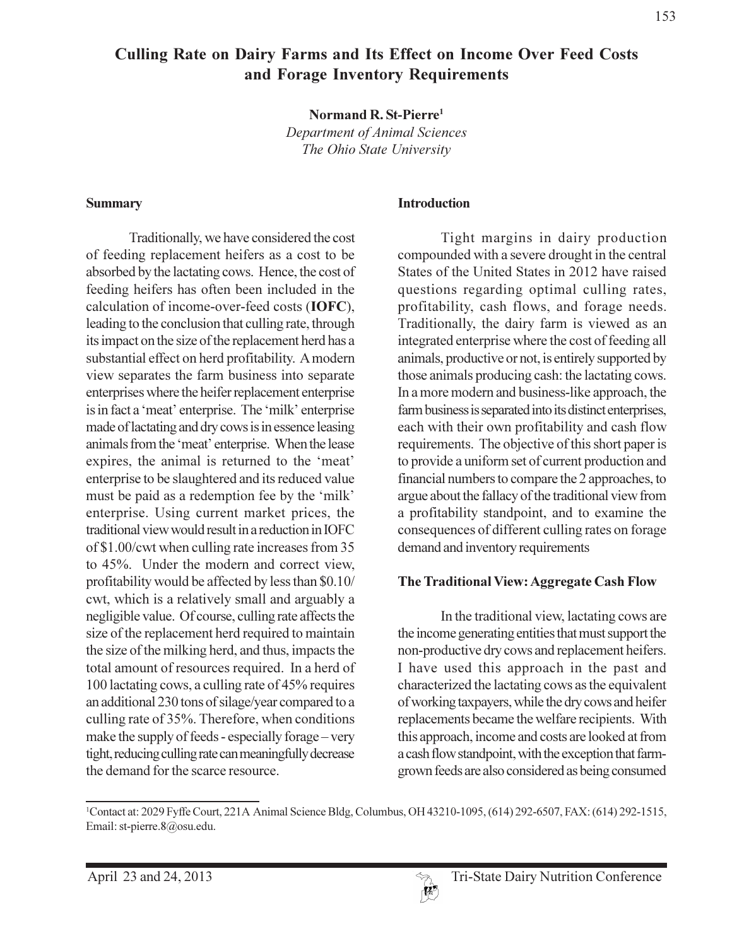# Culling Rate on Dairy Farms and Its Effect on Income Over Feed Costs and Forage Inventory Requirements

Normand R. St-Pierre<sup>1</sup>

Department of Animal Sciences The Ohio State University

#### **Summary**

Traditionally, we have considered the cost of feeding replacement heifers as a cost to be absorbed by the lactating cows. Hence, the cost of feeding heifers has often been included in the calculation of income-over-feed costs (IOFC), leading to the conclusion that culling rate, through its impact on the size of the replacement herd has a substantial effect on herd profitability. A modern view separates the farm business into separate enterprises where the heifer replacement enterprise is in fact a 'meat' enterprise. The 'milk' enterprise made of lactating and dry cows is in essence leasing animals from the 'meat' enterprise. When the lease expires, the animal is returned to the 'meat' enterprise to be slaughtered and its reduced value must be paid as a redemption fee by the 'milk' enterprise. Using current market prices, the traditional view would result in a reduction in IOFC of \$1.00/cwt when culling rate increases from 35 to 45%. Under the modern and correct view, profitability would be affected by less than \$0.10/ cwt, which is a relatively small and arguably a negligible value. Of course, culling rate affects the size of the replacement herd required to maintain the size of the milking herd, and thus, impacts the total amount of resources required. In a herd of 100 lactating cows, a culling rate of 45% requires an additional 230 tons of silage/year compared to a culling rate of 35%. Therefore, when conditions make the supply of feeds - especially forage – very tight, reducing culling rate can meaningfully decrease the demand for the scarce resource.

#### **Introduction**

Tight margins in dairy production compounded with a severe drought in the central States of the United States in 2012 have raised questions regarding optimal culling rates, profitability, cash flows, and forage needs. Traditionally, the dairy farm is viewed as an integrated enterprise where the cost of feeding all animals, productive or not, is entirely supported by those animals producing cash: the lactating cows. In a more modern and business-like approach, the farm business is separated into its distinct enterprises, each with their own profitability and cash flow requirements. The objective of this short paper is to provide a uniform set of current production and financial numbers to compare the 2 approaches, to argue about the fallacy of the traditional view from a profitability standpoint, and to examine the consequences of different culling rates on forage demand and inventory requirements

### The Traditional View: Aggregate Cash Flow

In the traditional view, lactating cows are the income generating entities that must support the non-productive dry cows and replacement heifers. I have used this approach in the past and characterized the lactating cows as the equivalent of working taxpayers, while the dry cows and heifer replacements became the welfare recipients. With this approach, income and costs are looked at from a cash flow standpoint, with the exception that farmgrown feeds are also considered as being consumed

<sup>&</sup>lt;sup>1</sup>Contact at: 2029 Fyffe Court, 221A Animal Science Bldg, Columbus, OH 43210-1095, (614) 292-6507, FAX: (614) 292-1515, Email: st-pierre.8@osu.edu.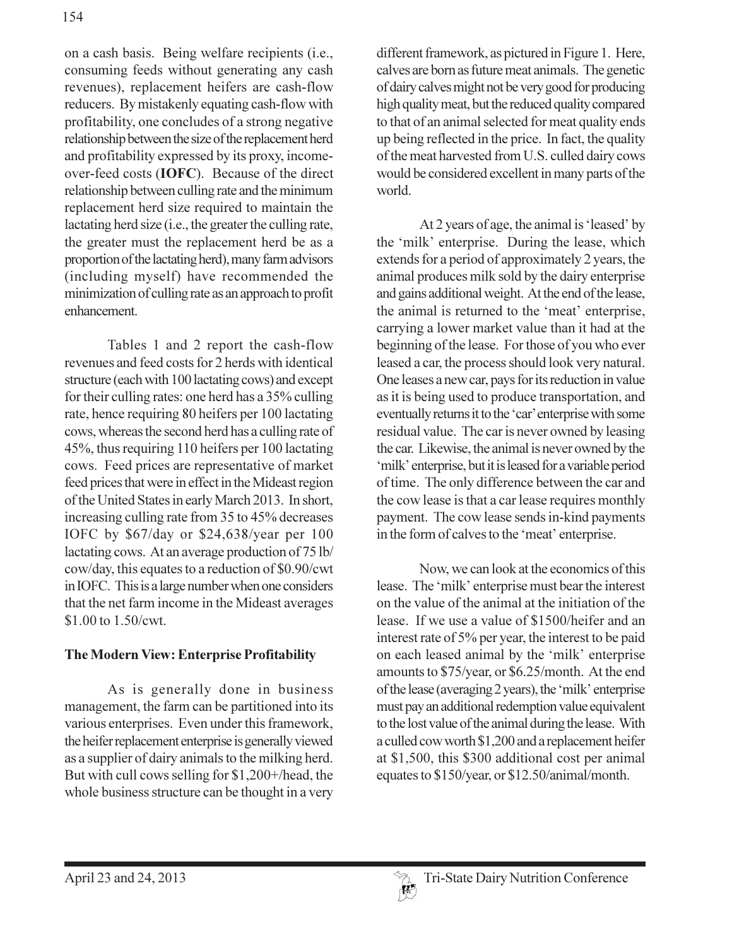on a cash basis. Being welfare recipients (i.e., consuming feeds without generating any cash revenues), replacement heifers are cash-flow reducers. By mistakenly equating cash-flow with profitability, one concludes of a strong negative relationship between the size of the replacement herd and profitability expressed by its proxy, incomeover-feed costs (IOFC). Because of the direct relationship between culling rate and the minimum replacement herd size required to maintain the lactating herd size (i.e., the greater the culling rate, the greater must the replacement herd be as a proportion of the lactating herd), many farm advisors (including myself) have recommended the minimization of culling rate as an approach to profit enhancement.

Tables 1 and 2 report the cash-flow revenues and feed costs for 2 herds with identical structure (each with 100 lactating cows) and except for their culling rates: one herd has a 35% culling rate, hence requiring 80 heifers per 100 lactating cows, whereas the second herd has a culling rate of 45%, thus requiring 110 heifers per 100 lactating cows. Feed prices are representative of market feed prices that were in effect in the Mideast region of the United States in early March 2013. In short, increasing culling rate from 35 to 45% decreases IOFC by \$67/day or \$24,638/year per 100 lactating cows. At an average production of 75 lb/ cow/day, this equates to a reduction of \$0.90/cwt in IOFC. This is a large number when one considers that the net farm income in the Mideast averages \$1.00 to 1.50/cwt.

# The Modern View: Enterprise Profitability

As is generally done in business management, the farm can be partitioned into its various enterprises. Even under this framework, the heifer replacement enterprise is generally viewed as a supplier of dairy animals to the milking herd. But with cull cows selling for \$1,200+/head, the whole business structure can be thought in a very different framework, as pictured in Figure 1. Here, calves are born as future meat animals. The genetic of dairy calves might not be very good for producing high quality meat, but the reduced quality compared to that of an animal selected for meat quality ends up being reflected in the price. In fact, the quality of the meat harvested from U.S. culled dairy cows would be considered excellent in many parts of the world.

At 2 years of age, the animal is 'leased' by the 'milk' enterprise. During the lease, which extends for a period of approximately 2 years, the animal produces milk sold by the dairy enterprise and gains additional weight. At the end of the lease, the animal is returned to the 'meat' enterprise, carrying a lower market value than it had at the beginning of the lease. For those of you who ever leased a car, the process should look very natural. One leases a new car, pays for its reduction in value as it is being used to produce transportation, and eventually returns it to the 'car' enterprise with some residual value. The car is never owned by leasing the car. Likewise, the animal is never owned by the 'milk' enterprise, but it is leased for a variable period of time. The only difference between the car and the cow lease is that a car lease requires monthly payment. The cow lease sends in-kind payments in the form of calves to the 'meat' enterprise.

Now, we can look at the economics of this lease. The 'milk' enterprise must bear the interest on the value of the animal at the initiation of the lease. If we use a value of \$1500/heifer and an interest rate of 5% per year, the interest to be paid on each leased animal by the 'milk' enterprise amounts to \$75/year, or \$6.25/month. At the end of the lease (averaging 2 years), the 'milk' enterprise must pay an additional redemption value equivalent to the lost value of the animal during the lease. With a culled cow worth \$1,200 and a replacement heifer at \$1,500, this \$300 additional cost per animal equates to \$150/year, or \$12.50/animal/month.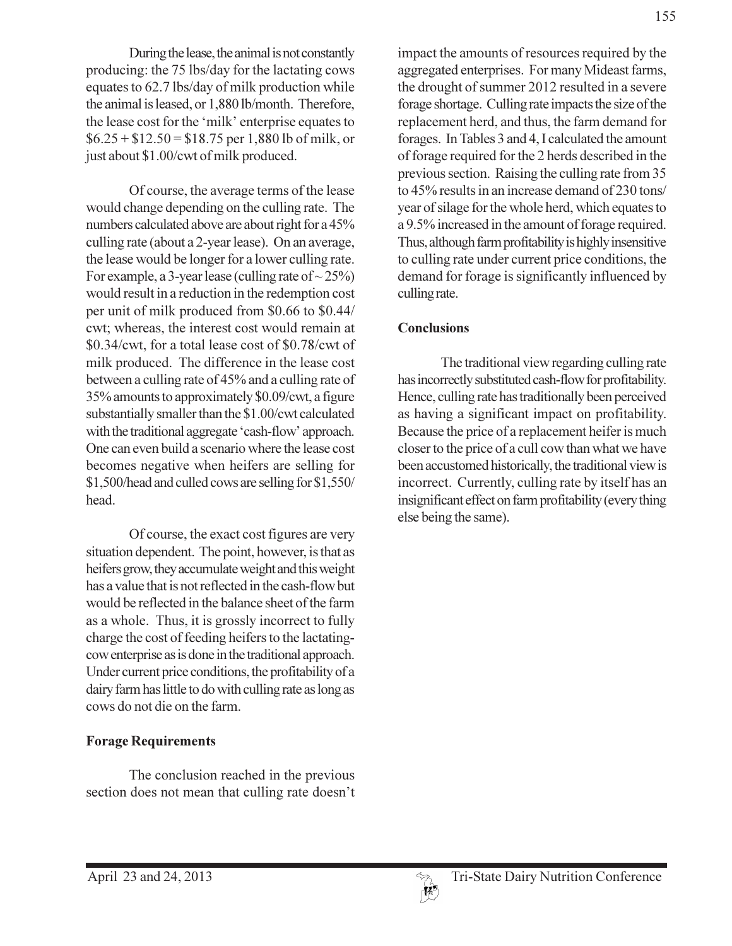During the lease, the animal is not constantly producing: the 75 lbs/day for the lactating cows equates to 62.7 lbs/day of milk production while the animal is leased, or 1,880 lb/month. Therefore, the lease cost for the 'milk' enterprise equates to  $$6.25 + $12.50 = $18.75$  per 1,880 lb of milk, or just about \$1.00/cwt of milk produced.

Of course, the average terms of the lease would change depending on the culling rate. The numbers calculated above are about right for a 45% culling rate (about a 2-year lease). On an average, the lease would be longer for a lower culling rate. For example, a 3-year lease (culling rate of  $\sim$  25%) would result in a reduction in the redemption cost per unit of milk produced from \$0.66 to \$0.44/ cwt; whereas, the interest cost would remain at \$0.34/cwt, for a total lease cost of \$0.78/cwt of milk produced. The difference in the lease cost between a culling rate of 45% and a culling rate of 35% amounts to approximately \$0.09/cwt, a figure substantially smaller than the \$1.00/cwt calculated with the traditional aggregate 'cash-flow' approach. One can even build a scenario where the lease cost becomes negative when heifers are selling for \$1,500/head and culled cows are selling for \$1,550/ head.

Of course, the exact cost figures are very situation dependent. The point, however, is that as heifers grow, they accumulate weight and this weight has a value that is not reflected in the cash-flow but would be reflected in the balance sheet of the farm as a whole. Thus, it is grossly incorrect to fully charge the cost of feeding heifers to the lactatingcow enterprise as is done in the traditional approach. Under current price conditions, the profitability of a dairy farm has little to do with culling rate as long as cows do not die on the farm.

### **Forage Requirements**

The conclusion reached in the previous section does not mean that culling rate doesn't impact the amounts of resources required by the aggregated enterprises. For many Mideast farms, the drought of summer 2012 resulted in a severe forage shortage. Culling rate impacts the size of the replacement herd, and thus, the farm demand for forages. In Tables 3 and 4, I calculated the amount of forage required for the 2 herds described in the previous section. Raising the culling rate from 35 to 45% results in an increase demand of 230 tons/ year of silage for the whole herd, which equates to a 9.5% increased in the amount of forage required. Thus, although farm profitability is highly insensitive to culling rate under current price conditions, the demand for forage is significantly influenced by culling rate.

## **Conclusions**

The traditional view regarding culling rate has incorrectly substituted cash-flow for profitability. Hence, culling rate has traditionally been perceived as having a significant impact on profitability. Because the price of a replacement heifer is much closer to the price of a cull cow than what we have been accustomed historically, the traditional view is incorrect. Currently, culling rate by itself has an insignificant effect on farm profitability (every thing else being the same).

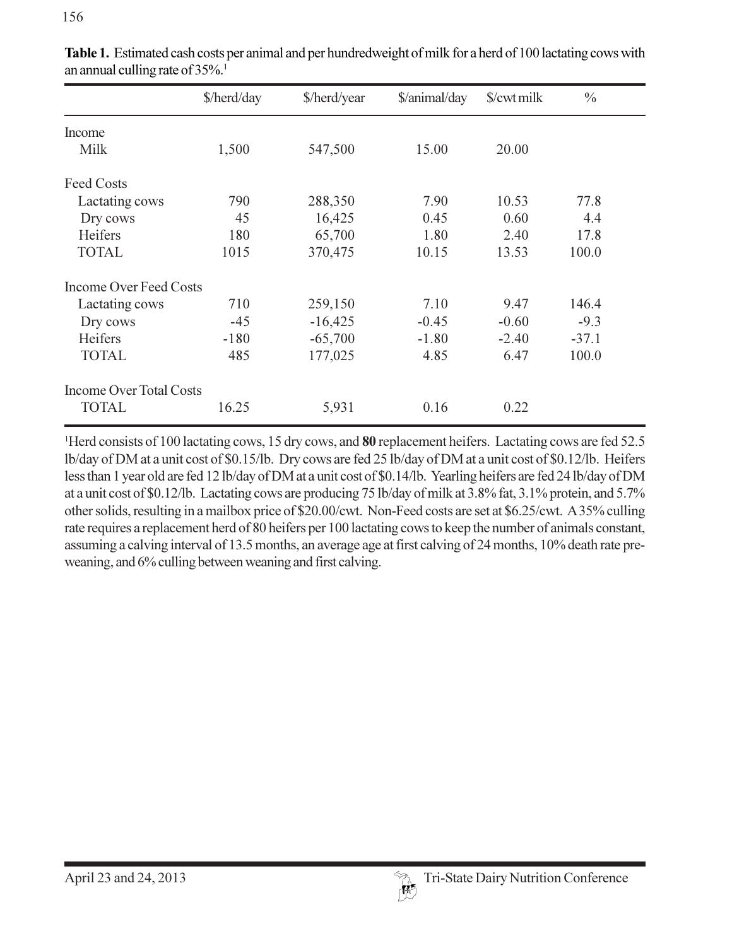|                                | \$/herd/day | \$/herd/year | \$/animal/day | \$/cwt milk | $\frac{0}{0}$ |
|--------------------------------|-------------|--------------|---------------|-------------|---------------|
| Income                         |             |              |               |             |               |
| Milk                           | 1,500       | 547,500      | 15.00         | 20.00       |               |
| <b>Feed Costs</b>              |             |              |               |             |               |
| Lactating cows                 | 790         | 288,350      | 7.90          | 10.53       | 77.8          |
| Dry cows                       | 45          | 16,425       | 0.45          | 0.60        | 4.4           |
| Heifers                        | 180         | 65,700       | 1.80          | 2.40        | 17.8          |
| <b>TOTAL</b>                   | 1015        | 370,475      | 10.15         | 13.53       | 100.0         |
| <b>Income Over Feed Costs</b>  |             |              |               |             |               |
| Lactating cows                 | 710         | 259,150      | 7.10          | 9.47        | 146.4         |
| Dry cows                       | $-45$       | $-16,425$    | $-0.45$       | $-0.60$     | $-9.3$        |
| Heifers                        | $-180$      | $-65,700$    | $-1.80$       | $-2.40$     | $-37.1$       |
| <b>TOTAL</b>                   | 485         | 177,025      | 4.85          | 6.47        | 100.0         |
| <b>Income Over Total Costs</b> |             |              |               |             |               |
| <b>TOTAL</b>                   | 16.25       | 5,931        | 0.16          | 0.22        |               |

156<br>**Table 1.** Estimated cash costs per animal and per hundredweight of milk for a herd of 100 lactating cows witl an annual culling rate of  $35\%$ osts per animal and per hundredweight of milk for a herd of 100 lactating c<br>5%.<sup>1</sup>

<sup>1</sup>Herd consists of 100 lactating cows, 15 dry cows, and **80** replacement heifers. Lactating cows a lb/day of DM at a unit cost of \$0.15/lb. Dry cows are fed 25 lb/day of DM at a unit cost of \$0.12/ less than 1 year old ar lb/day of DM at a unit cost of \$0.15/lb. Dry cows are fed 25 lb/day of DM at a unit cost of \$0.12/lb. Heifers less than 1 year old are fed 12 lb/day of DM at a unit cost of \$0.14/lb. Yearling heifers are fed 24 lb/day of DM at a unit cost of \$0.12/lb. Lactating cows are producing 75 lb/day of milk at 3.8% fat, 3.1% protein, and 5.7% other solids, resulting in a mailbox price of \$20.00/cwt. Non-Feed costs are set at \$6.25/cwt. A 35% culling rate requires a replacement herd of 80 heifers per 100 lactating cows to keep the number of animals constant, assuming a calving interval of 13.5 months, an average age at first calving of 24 months, 10% death rate preweaning, and 6% culling between weaning and first calving.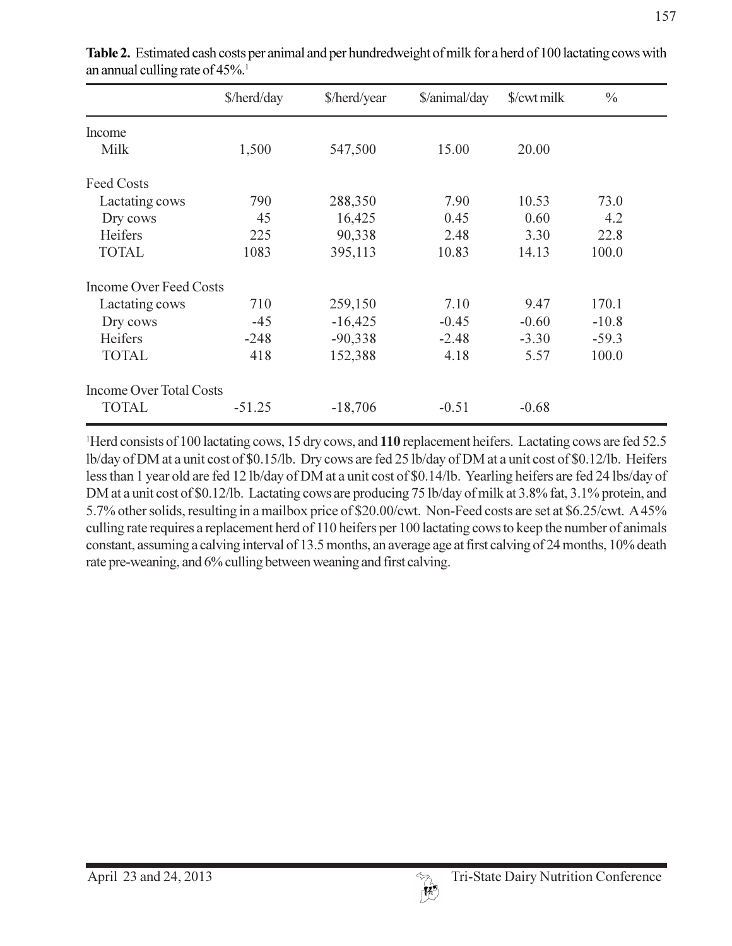|                                | \$/herd/day | \$/herd/year | \$/animal/day | \$/cwt milk | $\frac{0}{0}$ |
|--------------------------------|-------------|--------------|---------------|-------------|---------------|
| Income                         |             |              |               |             |               |
| Milk                           | 1,500       | 547,500      | 15.00         | 20.00       |               |
| <b>Feed Costs</b>              |             |              |               |             |               |
| Lactating cows                 | 790         | 288,350      | 7.90          | 10.53       | 73.0          |
| Dry cows                       | 45          | 16,425       | 0.45          | 0.60        | 4.2           |
| Heifers                        | 225         | 90,338       | 2.48          | 3.30        | 22.8          |
| <b>TOTAL</b>                   | 1083        | 395,113      | 10.83         | 14.13       | 100.0         |
| <b>Income Over Feed Costs</b>  |             |              |               |             |               |
| Lactating cows                 | 710         | 259,150      | 7.10          | 9.47        | 170.1         |
| Dry cows                       | $-45$       | $-16,425$    | $-0.45$       | $-0.60$     | $-10.8$       |
| Heifers                        | $-248$      | $-90,338$    | $-2.48$       | $-3.30$     | $-59.3$       |
| <b>TOTAL</b>                   | 418         | 152,388      | 4.18          | 5.57        | 100.0         |
| <b>Income Over Total Costs</b> |             |              |               |             |               |
| <b>TOTAL</b>                   | $-51.25$    | $-18,706$    | $-0.51$       | $-0.68$     |               |

1<br>Table 2. Estimated cash costs per animal and per hundredweight of milk for a herd of 100 lactating cows witl an annual culling rate of  $45\%$ osts per animal and per hundredweight of milk for a herd of 100 lactating c<br>5%.<sup>1</sup>

<sup>1</sup>Herd consists of 100 lactating cows, 15 dry cows, and **110** replacement heifers. Lactating cows are fed 52.5 lb/day of DM at a unit cost of \$0.15/lb. Dry cows are fed 25 lb/day of DM at a unit cost of \$0.12/lb. Heifers lb/day of DM at a unit cost of \$0.15/lb. Dry cows are fed 25 lb/day of DM at a unit cost of \$0.12/lb. Heifers less than 1 year old are fed 12 lb/day of DM at a unit cost of \$0.14/lb. Yearling heifers are fed 24 lbs/day of DM at a unit cost of \$0.12/lb. Lactating cows are producing 75 lb/day of milk at 3.8% fat, 3.1% protein, and culling rate requires a replacement herd of 110 heifers per 100 lactating cows to keep the number of animals constant, assuming a calving interval of 13.5 months, an average age at first calving of 24 months, 10% death rate pre-weaning, and 6% culling between weaning and first calving.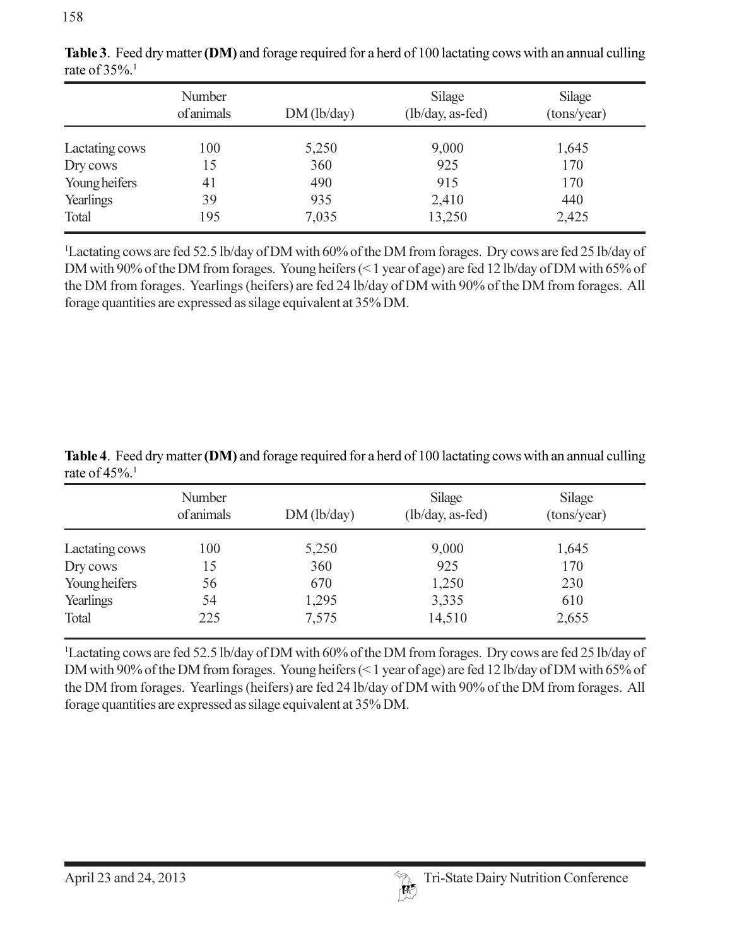|                | Number<br>of animals | DM (lb/day) | Silage<br>$(lb/day, as-fed)$ | Silage<br>(tons/year) |
|----------------|----------------------|-------------|------------------------------|-----------------------|
| Lactating cows | 100                  | 5,250       | 9,000                        | 1,645                 |
| Dry cows       | 15                   | 360         | 925                          | 170                   |
| Young heifers  | 41                   | 490         | 915                          | 170                   |
| Yearlings      | 39                   | 935         | 2,410                        | 440                   |
| Total          | 195                  | 7,035       | 13,250                       | 2,425                 |

158<br>**Table 3**. Feed dry matter (**DM**) and forage required for a herd of 100 lactating cows with an annual cullin<sub>?</sub> rate of  $35\%$ <sup>1</sup> tter (DM) and forage required for a herd of 100 lactating cows with an annual<br>Number Silage Silage atter (DM) and forage required for a herd of 100 lactating cows with an annual<br>
Number<br>
Silage Silage Silage Silage (terms/wear)

Lactating cows are fed 52.5 to/day of DIVI with 00% of the DIVI from forages. Dry cows are fed 25 to/day of DM with 90% of the DM from forages. Young heifers (<1 year of age) are fed 12 lb/day of DM with 65% of the DM from forages. Yearlings (heifers) are fed 24 lb/day of DM with 90% of the DM from forages. All <sup>1</sup>Lactating cows are fed 52.5 lb/day of DM with 60% of<br>DM with 90% of the DM from forages. Young heifers (<br>the DM from forages. Yearlings (heifers) are fed 24 lb<br>forage quantities are expressed as silage equivalent at 3 forage quantities are expressed as silage equivalent at 35% DM.

Table 4. Feed dry matter (DM) and forage required for a herd of 100 lactating cows with an annual culling rate of  $45\%$ <sup>1</sup> **M**) and forage required for a herd of 100 lactating cows with an annu<br>r<br>Silage Silage atter (DM) and forage required for a herd of 100 lactating cows with an annual<br>
Number<br>
Silage Silage Silage Silage (tong/work)  $\overline{\phantom{a}}$ 72

|                | Number<br>of animals | DM (lb/day) | Silage<br>$(lb/day, as-fed)$ | Silage<br>(tons/year) |
|----------------|----------------------|-------------|------------------------------|-----------------------|
| Lactating cows | 100                  | 5,250       | 9,000                        | 1,645                 |
| Dry cows       | 15                   | 360         | 925                          | 170                   |
| Young heifers  | 56                   | 670         | 1,250                        | 230                   |
| Yearlings      | 54                   | 1,295       | 3,335                        | 610                   |
| Total          | 225                  | 7,575       | 14,510                       | 2,655                 |

Lactating cows are fed 52.5 to/day of DIVI with 00% of the DIVI from forages. Dry cows are fed 25 to/day of DM with 90% of the DM from forages. Young heifers (<1 year of age) are fed 12 lb/day of DM with 65% of the DM from forages. Yearlings (heifers) are fed 24 lb/day of DM with 90% of the DM from forages. All <sup>1</sup>Lactating cows are fed 52.5 lb/day of DM with 60% of<br>DM with 90% of the DM from forages. Young heifers (<br>the DM from forages. Yearlings (heifers) are fed 24 lb<br>forage quantities are expressed as silage equivalent at 3